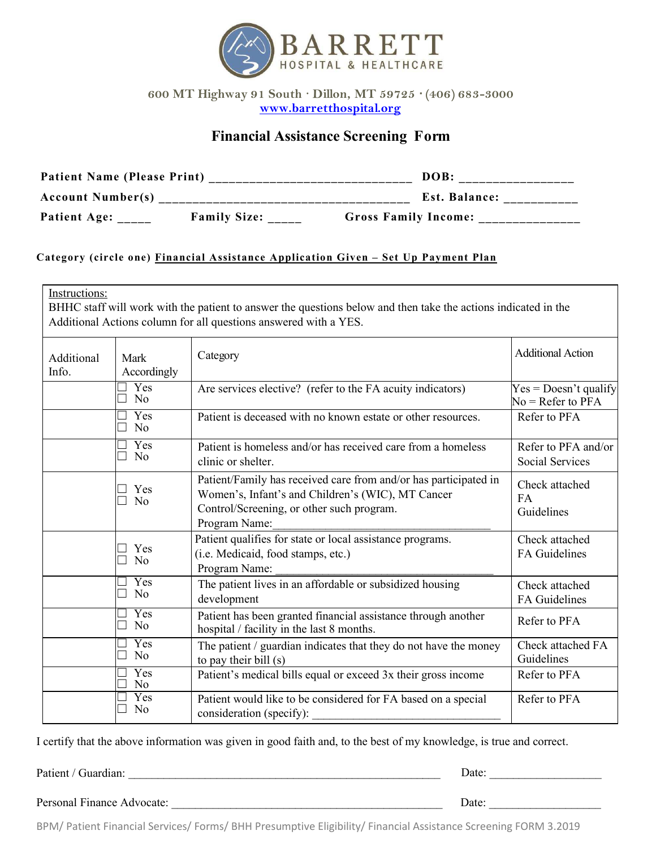

**600 MT Highway 91 South · Dillon, MT 59725 · (406) 683-3000 [www.barretthospital.org](http://www.barretthospital.org/)**

## **Financial Assistance Screening Form**

| <b>Patient Name (Please Print)</b> |                     |                             | DOB:          |
|------------------------------------|---------------------|-----------------------------|---------------|
| <b>Account Number(s)</b>           |                     |                             | Est. Balance: |
| Patient Age:                       | <b>Family Size:</b> | <b>Gross Family Income:</b> |               |

## **Category (circle one) Financial Assistance Application Given – Set Up Payment Plan**

| Instructions:<br>BHHC staff will work with the patient to answer the questions below and then take the actions indicated in the<br>Additional Actions column for all questions answered with a YES. |                                             |                                                                                                                                                                                     |                                                |  |  |
|-----------------------------------------------------------------------------------------------------------------------------------------------------------------------------------------------------|---------------------------------------------|-------------------------------------------------------------------------------------------------------------------------------------------------------------------------------------|------------------------------------------------|--|--|
| Additional<br>Info.                                                                                                                                                                                 | Mark<br>Accordingly                         | Category                                                                                                                                                                            | <b>Additional Action</b>                       |  |  |
|                                                                                                                                                                                                     | Yes<br>N <sub>o</sub><br>$\mathcal{L}$      | Are services elective? (refer to the FA acuity indicators)                                                                                                                          | $Yes = Doesn't quality$<br>$No = Refer to PFA$ |  |  |
|                                                                                                                                                                                                     | Yes<br>$\mathcal{L}$<br>N <sub>0</sub><br>٦ | Patient is deceased with no known estate or other resources.                                                                                                                        | Refer to PFA                                   |  |  |
|                                                                                                                                                                                                     | Yes<br>N <sub>0</sub><br>$\mathcal{L}$      | Patient is homeless and/or has received care from a homeless<br>clinic or shelter.                                                                                                  | Refer to PFA and/or<br><b>Social Services</b>  |  |  |
|                                                                                                                                                                                                     | Yes<br>N <sub>0</sub><br>×                  | Patient/Family has received care from and/or has participated in<br>Women's, Infant's and Children's (WIC), MT Cancer<br>Control/Screening, or other such program.<br>Program Name: | Check attached<br>FA<br>Guidelines             |  |  |
|                                                                                                                                                                                                     | Yes<br>N <sub>o</sub>                       | Patient qualifies for state or local assistance programs.<br>(i.e. Medicaid, food stamps, etc.)<br>Program Name:                                                                    | Check attached<br><b>FA</b> Guidelines         |  |  |
|                                                                                                                                                                                                     | Yes<br>N <sub>0</sub><br>┓                  | The patient lives in an affordable or subsidized housing<br>development                                                                                                             | Check attached<br>FA Guidelines                |  |  |
|                                                                                                                                                                                                     | Yes<br>N <sub>o</sub>                       | Patient has been granted financial assistance through another<br>hospital / facility in the last 8 months.                                                                          | Refer to PFA                                   |  |  |
|                                                                                                                                                                                                     | Yes<br>N <sub>o</sub>                       | The patient / guardian indicates that they do not have the money<br>to pay their bill (s)                                                                                           | Check attached FA<br>Guidelines                |  |  |
|                                                                                                                                                                                                     | Yes<br>N <sub>o</sub>                       | Patient's medical bills equal or exceed 3x their gross income                                                                                                                       | Refer to PFA                                   |  |  |
|                                                                                                                                                                                                     | Yes<br>N <sub>0</sub>                       | Patient would like to be considered for FA based on a special<br>consideration (specify):                                                                                           | Refer to PFA                                   |  |  |

I certify that the above information was given in good faith and, to the best of my knowledge, is true and correct.

Patient / Guardian: \_\_\_\_\_\_\_\_\_\_\_\_\_\_\_\_\_\_\_\_\_\_\_\_\_\_\_\_\_\_\_\_\_\_\_\_\_\_\_\_\_\_\_\_\_\_\_\_\_\_\_\_\_ Date: \_\_\_\_\_\_\_\_\_\_\_\_\_\_\_\_\_\_\_

Personal Finance Advocate: \_\_\_\_\_\_\_\_\_\_\_\_\_\_\_\_\_\_\_\_\_\_\_\_\_\_\_\_\_\_\_\_\_\_\_\_\_\_\_\_\_\_\_\_\_\_ Date: \_\_\_\_\_\_\_\_\_\_\_\_\_\_\_\_\_\_\_

BPM/ Patient Financial Services/ Forms/ BHH Presumptive Eligibility/ Financial Assistance Screening FORM 3.2019